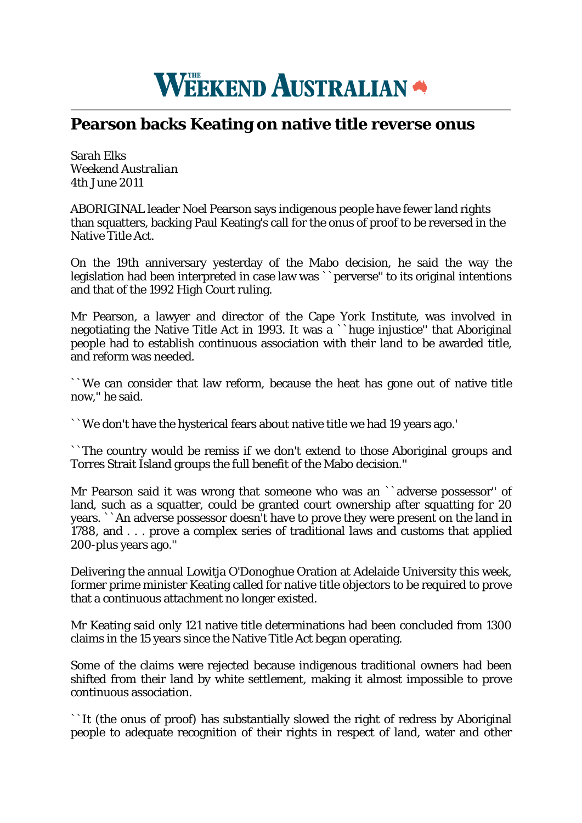

## **Pearson backs Keating on native title reverse onus**

Sarah Elks *Weekend Australian* 4th June 2011

ABORIGINAL leader Noel Pearson says indigenous people have fewer land rights than squatters, backing Paul Keating's call for the onus of proof to be reversed in the Native Title Act.

On the 19th anniversary yesterday of the Mabo decision, he said the way the legislation had been interpreted in case law was ``perverse'' to its original intentions and that of the 1992 High Court ruling.

Mr Pearson, a lawyer and director of the Cape York Institute, was involved in negotiating the Native Title Act in 1993. It was a ``huge injustice'' that Aboriginal people had to establish continuous association with their land to be awarded title, and reform was needed.

``We can consider that law reform, because the heat has gone out of native title now,'' he said.

``We don't have the hysterical fears about native title we had 19 years ago.'

``The country would be remiss if we don't extend to those Aboriginal groups and Torres Strait Island groups the full benefit of the Mabo decision.''

Mr Pearson said it was wrong that someone who was an ``adverse possessor" of land, such as a squatter, could be granted court ownership after squatting for 20 years. ``An adverse possessor doesn't have to prove they were present on the land in 1788, and . . . prove a complex series of traditional laws and customs that applied 200-plus years ago.''

Delivering the annual Lowitja O'Donoghue Oration at Adelaide University this week, former prime minister Keating called for native title objectors to be required to prove that a continuous attachment no longer existed.

Mr Keating said only 121 native title determinations had been concluded from 1300 claims in the 15 years since the Native Title Act began operating.

Some of the claims were rejected because indigenous traditional owners had been shifted from their land by white settlement, making it almost impossible to prove continuous association.

``It (the onus of proof) has substantially slowed the right of redress by Aboriginal people to adequate recognition of their rights in respect of land, water and other